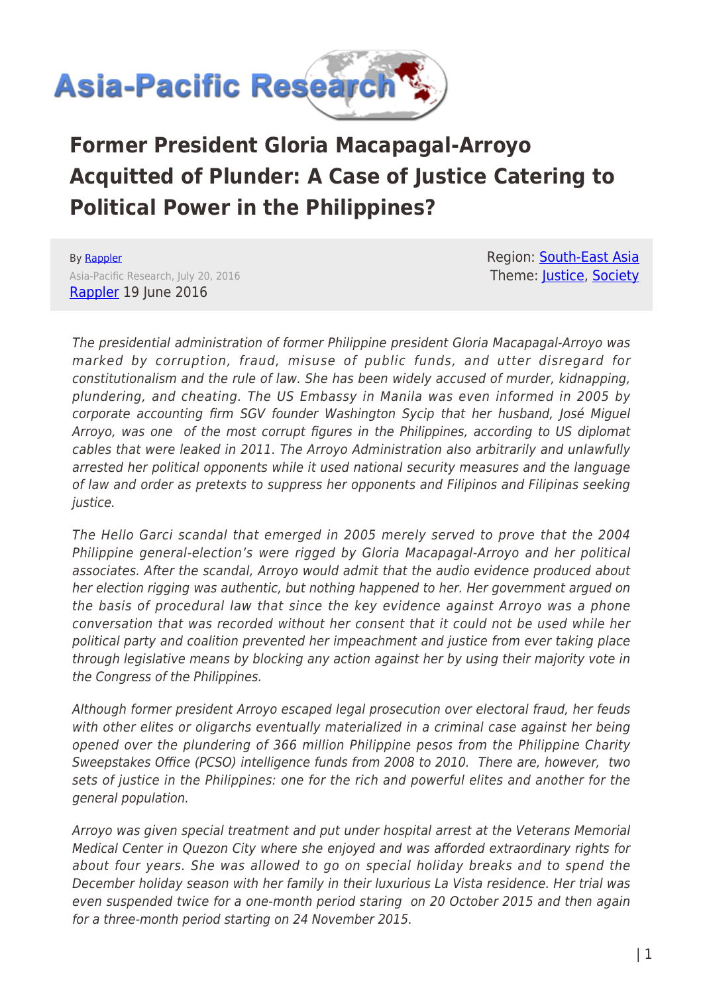

# **Former President Gloria Macapagal-Arroyo Acquitted of Plunder: A Case of Justice Catering to Political Power in the Philippines?**

By [Rappler](https://www.asia-pacificresearch.com/author/rappler) Asia-Pacific Research, July 20, 2016 [Rappler](http://www.rappler.com/) 19 June 2016

Region: [South-East Asia](https://www.asia-pacificresearch.com/region/south-east-asia) Theme: [Justice,](https://www.asia-pacificresearch.com/theme/as-justice) [Society](https://www.asia-pacificresearch.com/theme/society)

The presidential administration of former Philippine president Gloria Macapagal-Arroyo was marked by corruption, fraud, misuse of public funds, and utter disregard for constitutionalism and the rule of law. She has been widely accused of murder, kidnapping, plundering, and cheating. The US Embassy in Manila was even informed in 2005 by corporate accounting firm SGV founder Washington Sycip that her husband, José Miguel Arroyo, was one of the most corrupt figures in the Philippines, according to US diplomat cables that were leaked in 2011. The Arroyo Administration also arbitrarily and unlawfully arrested her political opponents while it used national security measures and the language of law and order as pretexts to suppress her opponents and Filipinos and Filipinas seeking justice.

The Hello Garci scandal that emerged in 2005 merely served to prove that the 2004 Philippine general-election's were rigged by Gloria Macapagal-Arroyo and her political associates. After the scandal, Arroyo would admit that the audio evidence produced about her election rigging was authentic, but nothing happened to her. Her government argued on the basis of procedural law that since the key evidence against Arroyo was a phone conversation that was recorded without her consent that it could not be used while her political party and coalition prevented her impeachment and justice from ever taking place through legislative means by blocking any action against her by using their majority vote in the Congress of the Philippines.

Although former president Arroyo escaped legal prosecution over electoral fraud, her feuds with other elites or oligarchs eventually materialized in a criminal case against her being opened over the plundering of 366 million Philippine pesos from the Philippine Charity Sweepstakes Office (PCSO) intelligence funds from 2008 to 2010. There are, however, two sets of justice in the Philippines: one for the rich and powerful elites and another for the general population.

Arroyo was given special treatment and put under hospital arrest at the Veterans Memorial Medical Center in Quezon City where she enjoyed and was afforded extraordinary rights for about four years. She was allowed to go on special holiday breaks and to spend the December holiday season with her family in their luxurious La Vista residence. Her trial was even suspended twice for a one-month period staring on 20 October 2015 and then again for a three-month period starting on 24 November 2015.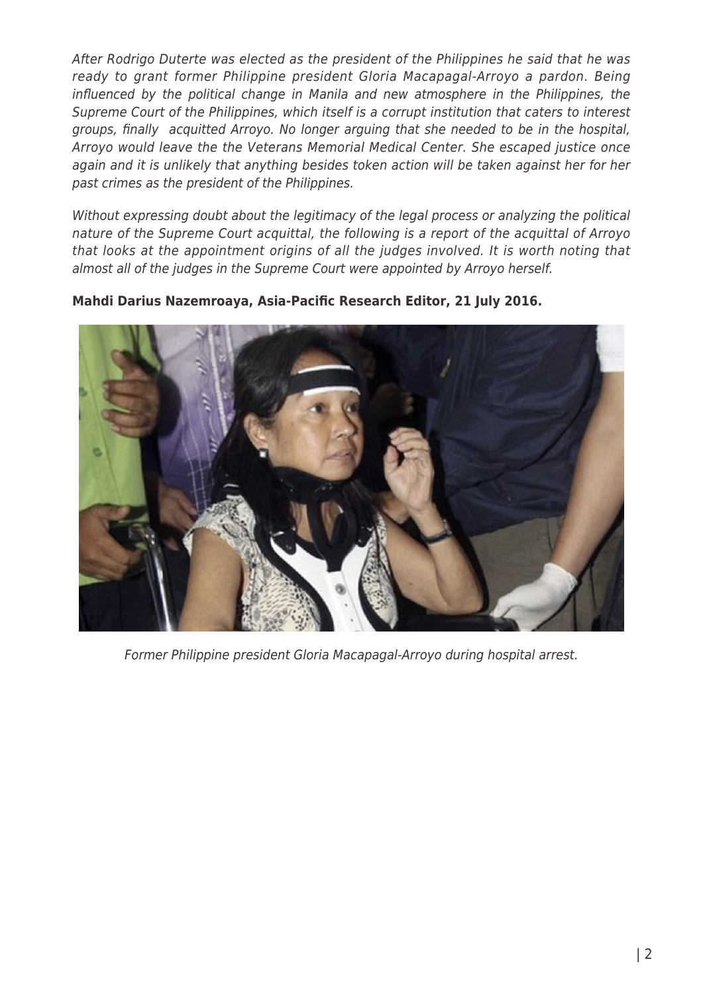After Rodrigo Duterte was elected as the president of the Philippines he said that he was ready to grant former Philippine president Gloria Macapagal-Arroyo a pardon. Being influenced by the political change in Manila and new atmosphere in the Philippines, the Supreme Court of the Philippines, which itself is a corrupt institution that caters to interest groups, finally acquitted Arroyo. No longer arguing that she needed to be in the hospital, Arroyo would leave the the Veterans Memorial Medical Center. She escaped justice once again and it is unlikely that anything besides token action will be taken against her for her past crimes as the president of the Philippines.

Without expressing doubt about the legitimacy of the legal process or analyzing the political nature of the Supreme Court acquittal, the following is a report of the acquittal of Arroyo that looks at the appointment origins of all the judges involved. It is worth noting that almost all of the judges in the Supreme Court were appointed by Arroyo herself.

**Mahdi Darius Nazemroaya, Asia-Pacific Research Editor, 21 July 2016.**



Former Philippine president Gloria Macapagal-Arroyo during hospital arrest.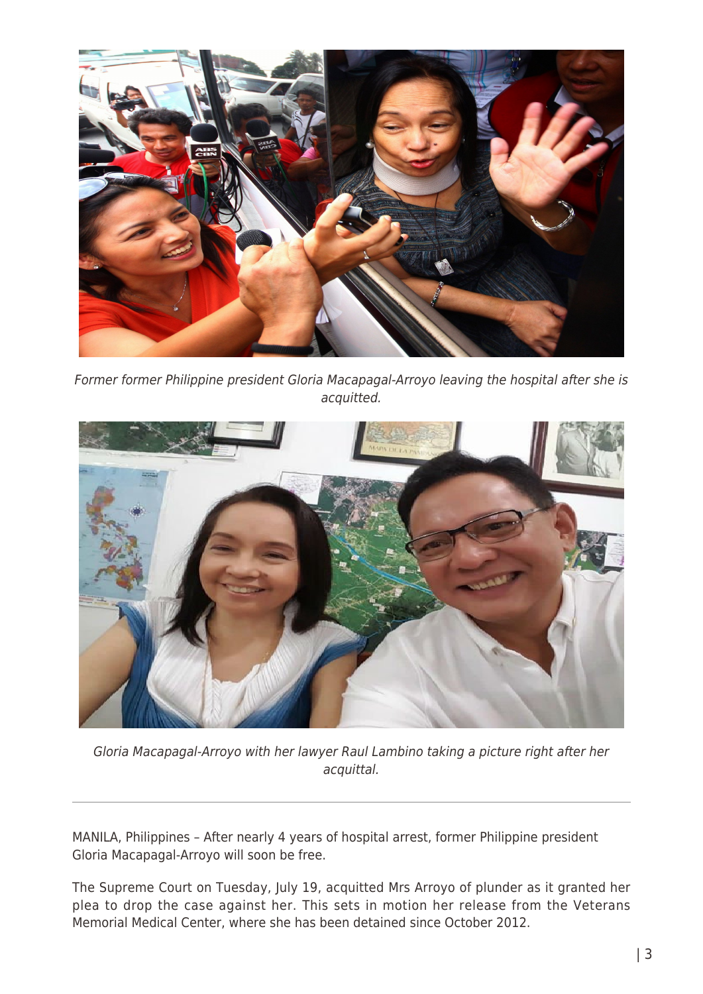

Former former Philippine president Gloria Macapagal-Arroyo leaving the hospital after she is acquitted.



Gloria Macapagal-Arroyo with her lawyer Raul Lambino taking a picture right after her acquittal.

MANILA, Philippines – After nearly 4 years of hospital arrest, former Philippine president Gloria Macapagal-Arroyo will soon be free.

The Supreme Court on Tuesday, July 19, acquitted Mrs Arroyo of plunder as it granted her plea to drop the case against her. This sets in motion her release from the Veterans Memorial Medical Center, where she has been detained since October 2012.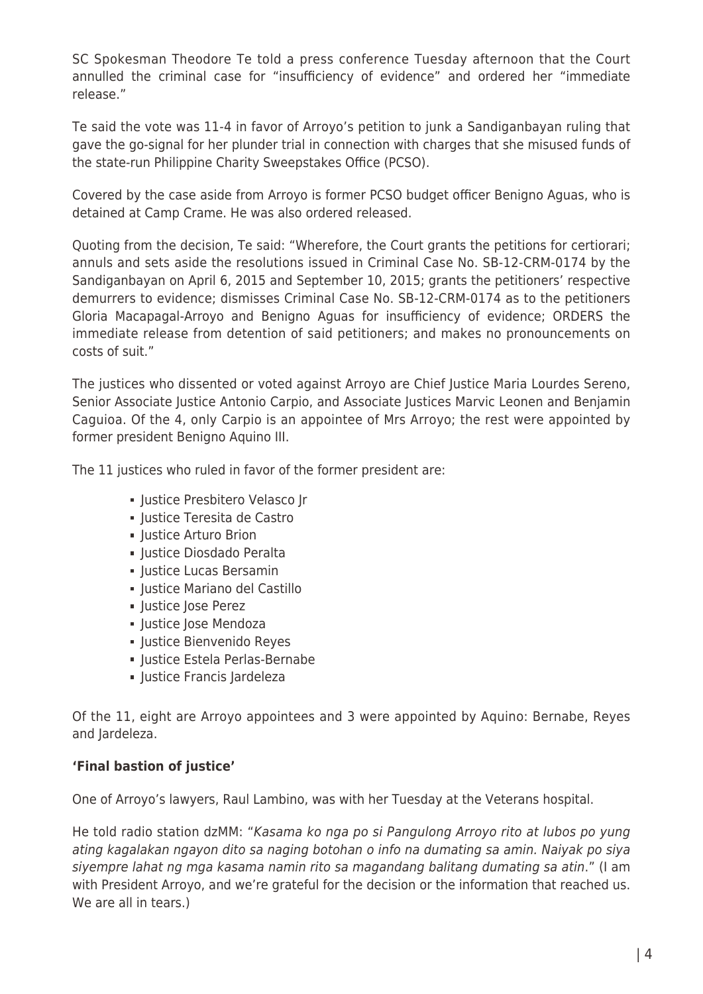SC Spokesman Theodore Te told a press conference Tuesday afternoon that the Court annulled the criminal case for "insufficiency of evidence" and ordered her "immediate release."

Te said the vote was 11-4 in favor of Arroyo's petition to junk a Sandiganbayan ruling that gave the go-signal for her plunder trial in connection with charges that she misused funds of the state-run Philippine Charity Sweepstakes Office (PCSO).

Covered by the case aside from Arroyo is former PCSO budget officer Benigno Aguas, who is detained at Camp Crame. He was also ordered released.

Quoting from the decision, Te said: "Wherefore, the Court grants the petitions for certiorari; annuls and sets aside the resolutions issued in Criminal Case No. SB-12-CRM-0174 by the Sandiganbayan on April 6, 2015 and September 10, 2015; grants the petitioners' respective demurrers to evidence; dismisses Criminal Case No. SB-12-CRM-0174 as to the petitioners Gloria Macapagal-Arroyo and Benigno Aguas for insufficiency of evidence; ORDERS the immediate release from detention of said petitioners; and makes no pronouncements on costs of suit."

The justices who dissented or voted against Arroyo are Chief Justice Maria Lourdes Sereno, Senior Associate Justice Antonio Carpio, and Associate Justices Marvic Leonen and Benjamin Caguioa. Of the 4, only Carpio is an appointee of Mrs Arroyo; the rest were appointed by former president Benigno Aquino III.

The 11 justices who ruled in favor of the former president are:

- Justice Presbitero Velasco Jr
- Justice Teresita de Castro
- **Justice Arturo Brion**
- Justice Diosdado Peralta
- **Industice Lucas Bersamin**
- Justice Mariano del Castillo
- Justice Jose Perez
- Justice Jose Mendoza
- **ILISTICE Bienvenido Reyes**
- Justice Estela Perlas-Bernabe
- Justice Francis Jardeleza

Of the 11, eight are Arroyo appointees and 3 were appointed by Aquino: Bernabe, Reyes and Jardeleza.

# **'Final bastion of justice'**

One of Arroyo's lawyers, Raul Lambino, was with her Tuesday at the Veterans hospital.

He told radio station dzMM: "Kasama ko nga po si Pangulong Arroyo rito at lubos po yung ating kagalakan ngayon dito sa naging botohan o info na dumating sa amin. Naiyak po siya siyempre lahat ng mga kasama namin rito sa magandang balitang dumating sa atin." (I am with President Arroyo, and we're grateful for the decision or the information that reached us. We are all in tears.)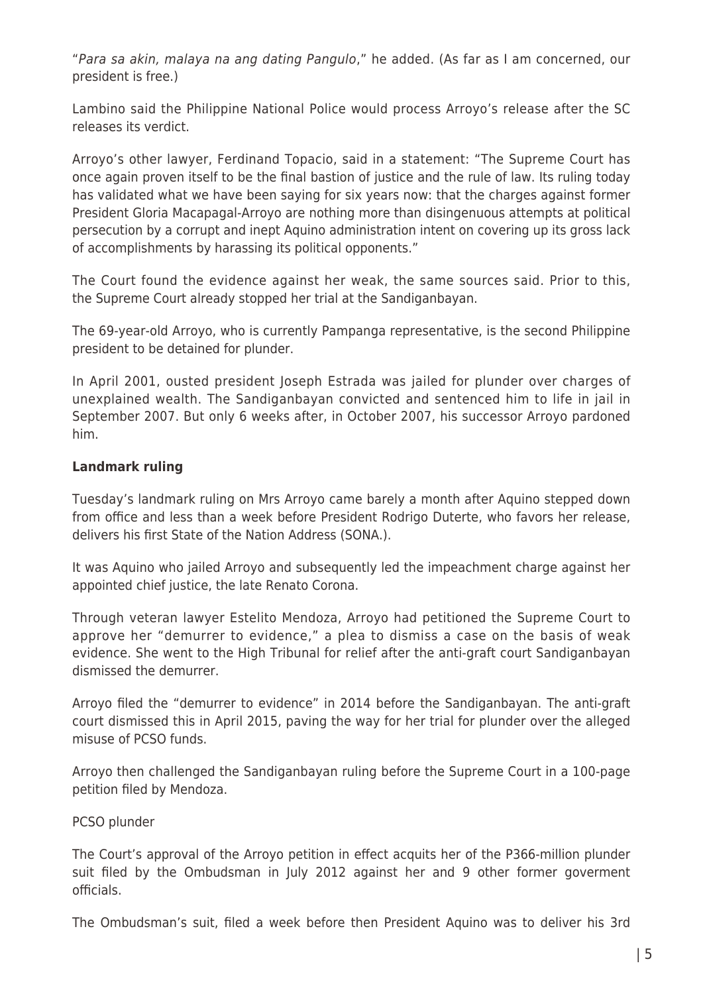"Para sa akin, malaya na ang dating Pangulo," he added. (As far as I am concerned, our president is free.)

Lambino said the Philippine National Police would process Arroyo's release after the SC releases its verdict.

Arroyo's other lawyer, Ferdinand Topacio, said in a statement: "The Supreme Court has once again proven itself to be the final bastion of justice and the rule of law. Its ruling today has validated what we have been saying for six years now: that the charges against former President Gloria Macapagal-Arroyo are nothing more than disingenuous attempts at political persecution by a corrupt and inept Aquino administration intent on covering up its gross lack of accomplishments by harassing its political opponents."

The Court found the evidence against her weak, the same sources said. Prior to this, the Supreme Court already stopped her trial at the Sandiganbayan.

The 69-year-old Arroyo, who is currently Pampanga representative, is the second Philippine president to be detained for plunder.

In April 2001, ousted president Joseph Estrada was jailed for plunder over charges of unexplained wealth. The Sandiganbayan convicted and sentenced him to life in jail in September 2007. But only 6 weeks after, in October 2007, his successor Arroyo pardoned him.

#### **Landmark ruling**

Tuesday's landmark ruling on Mrs Arroyo came barely a month after Aquino stepped down from office and less than a week before President Rodrigo Duterte, who favors her release, delivers his first State of the Nation Address (SONA.).

It was Aquino who jailed Arroyo and subsequently led the impeachment charge against her appointed chief justice, the late Renato Corona.

Through veteran lawyer Estelito Mendoza, Arroyo had petitioned the Supreme Court to approve her "demurrer to evidence," a plea to dismiss a case on the basis of weak evidence. She went to the High Tribunal for relief after the anti-graft court Sandiganbayan dismissed the demurrer.

Arroyo filed the "demurrer to evidence" in 2014 before the Sandiganbayan. The anti-graft court dismissed this in April 2015, paving the way for her trial for plunder over the alleged misuse of PCSO funds.

Arroyo then challenged the Sandiganbayan ruling before the Supreme Court in a 100-page petition filed by Mendoza.

#### PCSO plunder

The Court's approval of the Arroyo petition in effect acquits her of the P366-million plunder suit filed by the Ombudsman in July 2012 against her and 9 other former goverment officials.

The Ombudsman's suit, filed a week before then President Aquino was to deliver his 3rd